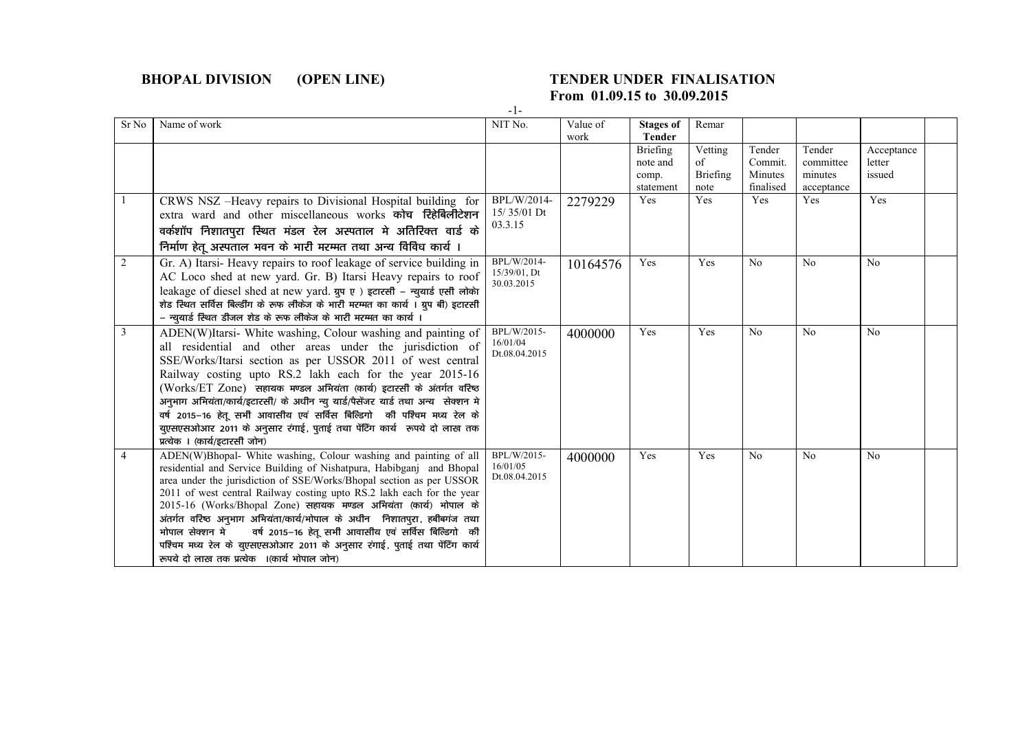## **BHOPAL DIVISION (OPEN LINE) TENDER UNDER FINALISATION**

## **From 01.09.15 to 30.09.2015**

-1-

| Sr No | Name of work                                                                                                                                                                                                                                                                                                                                                                                                                                                                                                                                                                                                                                      | NIT No.                                   | Value of<br>work | <b>Stages of</b><br><b>Tender</b>          | Remar                             |                                           |                                              |                                |  |
|-------|---------------------------------------------------------------------------------------------------------------------------------------------------------------------------------------------------------------------------------------------------------------------------------------------------------------------------------------------------------------------------------------------------------------------------------------------------------------------------------------------------------------------------------------------------------------------------------------------------------------------------------------------------|-------------------------------------------|------------------|--------------------------------------------|-----------------------------------|-------------------------------------------|----------------------------------------------|--------------------------------|--|
|       |                                                                                                                                                                                                                                                                                                                                                                                                                                                                                                                                                                                                                                                   |                                           |                  | Briefing<br>note and<br>comp.<br>statement | Vetting<br>of<br>Briefing<br>note | Tender<br>Commit.<br>Minutes<br>finalised | Tender<br>committee<br>minutes<br>acceptance | Acceptance<br>letter<br>issued |  |
|       | CRWS NSZ -Heavy repairs to Divisional Hospital building for<br>extra ward and other miscellaneous works कोच रिहेबिलीटेशन<br>वर्कशॉप निशातपुरा स्थित मंडल रेल अस्पताल मे अतिरिक्त वार्ड के<br>निर्माण हेतू अस्पताल भवन के भारी मरम्मत तथा अन्य विविध कार्य ।                                                                                                                                                                                                                                                                                                                                                                                       | BPL/W/2014-<br>$15/35/01$ Dt<br>03.3.15   | 2279229          | Yes                                        | Yes                               | Yes                                       | Yes                                          | Yes                            |  |
| 2     | Gr. A) Itarsi-Heavy repairs to roof leakage of service building in<br>AC Loco shed at new yard. Gr. B) Itarsi Heavy repairs to roof<br>leakage of diesel shed at new yard. ग्रुप ए) इटारसी - न्युयार्ड एसी लोकेा<br>शेड स्थित सर्विस बिल्डींग के रूफ लीकेज के भारी मरम्मत का कार्य । ग्रुप बी) इटारसी<br>- न्युयार्ड स्थित डीजल शेड के रूफ लीकेज के भारी मरम्मत का कार्य ।                                                                                                                                                                                                                                                                        | BPL/W/2014-<br>15/39/01, Dt<br>30.03.2015 | 10164576         | Yes                                        | Yes                               | N <sub>0</sub>                            | N <sub>0</sub>                               | No                             |  |
| 3     | ADEN(W)Itarsi- White washing, Colour washing and painting of<br>all residential and other areas under the jurisdiction of<br>SSE/Works/Itarsi section as per USSOR 2011 of west central<br>Railway costing upto RS.2 lakh each for the year 2015-16<br>(Works/ET Zone) सहायक मण्डल अभियंता (कार्य) इटारसी के अंतर्गत वरिष्ठ<br>अनुभाग अभियंता/कार्य/इटारसी/ के अधीन न्यु यार्ड/पैसेंजर यार्ड तथा अन्य सेक्शन मे<br>वर्ष 2015–16 हेतू सभी आवासीय एवं सर्विस बिल्डिगो की पश्चिम मध्य रेल के<br>युएसएसओआर 2011 के अनुसार रंगाई, पुताई तथा पेंटिंग कार्य रूपये दो लाख तक<br>प्रत्येक । (कार्य/इटारसी जोन)                                             | BPL/W/2015-<br>16/01/04<br>Dt.08.04.2015  | 4000000          | Yes                                        | Yes                               | N <sub>0</sub>                            | No                                           | No                             |  |
| 4     | ADEN(W)Bhopal- White washing, Colour washing and painting of all<br>residential and Service Building of Nishatpura, Habibganj and Bhopal<br>area under the jurisdiction of SSE/Works/Bhopal section as per USSOR<br>2011 of west central Railway costing upto RS.2 lakh each for the year<br>2015-16 (Works/Bhopal Zone) सहायक मण्डल अभियंता (कार्य) भोपाल के<br>अंतर्गत वरिष्ठ अनुभाग अभियंता/कार्य/भोपाल के अधीन निशातपुरा, हबीबगंज तथा<br>भोपाल सेक्शन मे<br>वर्ष 2015–16 हेतू सभी आवासीय एवं सर्विस बिल्डिगो की<br>पश्चिम मध्य रेल के युएसएसओआर 2011 के अनुसार रंगाई, पुताई तथा पेंटिंग कार्य<br>रूपये दो लाख तक प्रत्येक । (कार्य भोपाल जोन) | BPL/W/2015-<br>16/01/05<br>Dt.08.04.2015  | 4000000          | Yes                                        | Yes                               | No                                        | N <sub>0</sub>                               | N <sub>0</sub>                 |  |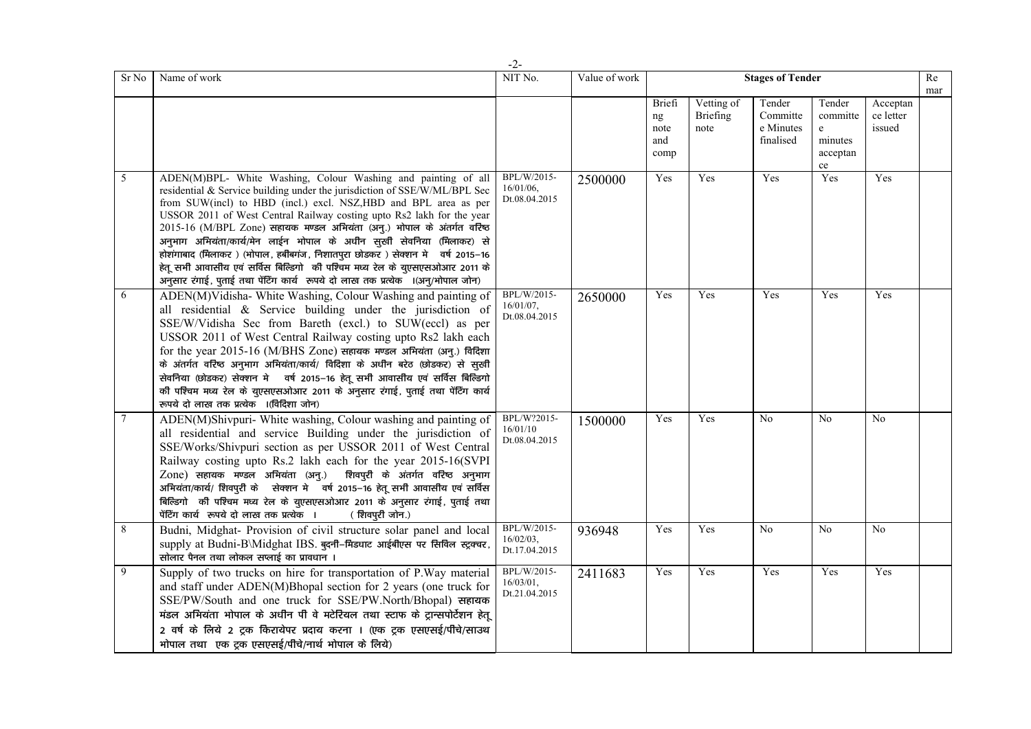|        |                                                                                                                                                                                                                                                                                                                                                                                                                                                                                                                                                                                                                                                                                                | $-2-$                                        |               |                                     |                                |                                              |                                                                        |                                 |           |
|--------|------------------------------------------------------------------------------------------------------------------------------------------------------------------------------------------------------------------------------------------------------------------------------------------------------------------------------------------------------------------------------------------------------------------------------------------------------------------------------------------------------------------------------------------------------------------------------------------------------------------------------------------------------------------------------------------------|----------------------------------------------|---------------|-------------------------------------|--------------------------------|----------------------------------------------|------------------------------------------------------------------------|---------------------------------|-----------|
| Sr No  | Name of work                                                                                                                                                                                                                                                                                                                                                                                                                                                                                                                                                                                                                                                                                   | NIT No.                                      | Value of work |                                     |                                | <b>Stages of Tender</b>                      |                                                                        |                                 | Re<br>mar |
|        |                                                                                                                                                                                                                                                                                                                                                                                                                                                                                                                                                                                                                                                                                                |                                              |               | Briefi<br>ng<br>note<br>and<br>comp | Vetting of<br>Briefing<br>note | Tender<br>Committe<br>e Minutes<br>finalised | Tender<br>committe<br>$\mathbf{e}$<br>minutes<br>acceptan<br>$\rm{ce}$ | Acceptan<br>ce letter<br>issued |           |
| 5      | ADEN(M)BPL- White Washing, Colour Washing and painting of all<br>residential & Service building under the jurisdiction of SSE/W/ML/BPL Sec<br>from SUW(incl) to HBD (incl.) excl. NSZ,HBD and BPL area as per<br>USSOR 2011 of West Central Railway costing upto Rs2 lakh for the year<br>$2015$ -16 (M/BPL Zone) सहायक मण्डल अभियंता (अनु.) भोपाल के अंतर्गत वरिष्ठ<br>अनुभाग अभियंता/कार्य/मेन लाईन भोपाल के अधीन सुखी सेवनिया (मिलाकर) से<br>होशंगाबाद (मिलाकर) (भोपाल, हबीबगंज, निशातपुरा छोडकर) सेक्शन में वर्ष 2015–16<br>हेतू सभी आवासीय एवं सर्विस बिल्डिगो की पश्चिम मध्य रेल के युएसएसओआर 2011 के<br>अनुसार रंगाई, पुताई तथा पेंटिंग कार्य रूपये दो लाख तक प्रत्येक ।(अनु/भोपाल जोन) | BPL/W/2015-<br>$16/01/06$ ,<br>Dt.08.04.2015 | 2500000       | Yes                                 | Yes                            | Yes                                          | Yes                                                                    | Yes                             |           |
| 6      | ADEN(M)Vidisha-White Washing, Colour Washing and painting of<br>all residential & Service building under the jurisdiction of<br>SSE/W/Vidisha Sec from Bareth (excl.) to SUW(eccl) as per<br>USSOR 2011 of West Central Railway costing upto Rs2 lakh each<br>for the year $2015$ -16 (M/BHS Zone) सहायक मण्डल अभियंता (अनु.) विदिशा<br>के अंतर्गत वरिष्ठ अनुभाग अभियंता/कार्य/ विदिशा के अधीन बरेठ (छोडकर) से सुखी<br>सेवनिया (छोडकर) सेक्शन में वर्ष 2015-16 हेतू सभी आवासीय एवं सर्विस बिल्डिगो<br>की पश्चिम मध्य रेल के युएसएसओआर 2011 के अनुसार रंगाई, पुताई तथा पेंटिंग कार्य<br>रूपये दो लाख तक प्रत्येक ।(विदिशा जोन)                                                                  | BPL/W/2015-<br>$16/01/07$ ,<br>Dt.08.04.2015 | 2650000       | Yes                                 | Yes                            | Yes                                          | Yes                                                                    | Yes                             |           |
| $\tau$ | ADEN(M)Shivpuri- White washing, Colour washing and painting of<br>all residential and service Building under the jurisdiction of<br>SSE/Works/Shivpuri section as per USSOR 2011 of West Central<br>Railway costing upto Rs.2 lakh each for the year 2015-16(SVPI<br>Zone) सहायक मण्डल अभियंता (अनु.) शिवपुरी के अंतर्गत वरिष्ठ अनुभाग<br>अभियंता/कार्य/ शिवपुरी के सेक्शन मे वर्ष 2015–16 हेतू सभी आवासीय एवं सर्विस<br>बिल्डिगो की पश्चिम मध्य रेल के युएसएसओआर 2011 के अनुसार रंगाई, पुताई तथा<br>पेंटिंग कार्य रूपये दो लाख तक प्रत्येक ।<br>(शिवपुरी जोन.)                                                                                                                                | BPL/W?2015-<br>16/01/10<br>Dt.08.04.2015     | 1500000       | Yes                                 | Yes                            | N <sub>0</sub>                               | N <sub>0</sub>                                                         | N <sub>0</sub>                  |           |
| 8      | Budni, Midghat- Provision of civil structure solar panel and local<br>supply at Budni-B\Midghat IBS. बुदनी-मिडधाट आईबीएस पर सिविल स्ट्रक्चर,<br>सोलार पैनल तथा लोकल सप्लाई का प्रावधान ।                                                                                                                                                                                                                                                                                                                                                                                                                                                                                                       | BPL/W/2015-<br>16/02/03,<br>Dt.17.04.2015    | 936948        | Yes                                 | Yes                            | N <sub>0</sub>                               | N <sub>0</sub>                                                         | N <sub>0</sub>                  |           |
| 9      | Supply of two trucks on hire for transportation of P.Way material<br>and staff under ADEN(M)Bhopal section for 2 years (one truck for<br>SSE/PW/South and one truck for SSE/PW.North/Bhopal) सहायक<br>मंडल अभियंता भोपाल के अधीन पी वे मटेरियल तथा स्टाफ के ट्रान्सपोर्टेशन हेतू<br>2 वर्ष के लिये 2 ट्रक किरायेपर प्रदाय करना । (एक ट्रक एसएसई/पीचे/साउथ<br>भोपाल तथा एक ट्रक एसएसई/पीचे/नार्थ भोपाल के लिये)                                                                                                                                                                                                                                                                                 | BPL/W/2015-<br>16/03/01,<br>Dt.21.04.2015    | 2411683       | Yes                                 | Yes                            | Yes                                          | Yes                                                                    | Yes                             |           |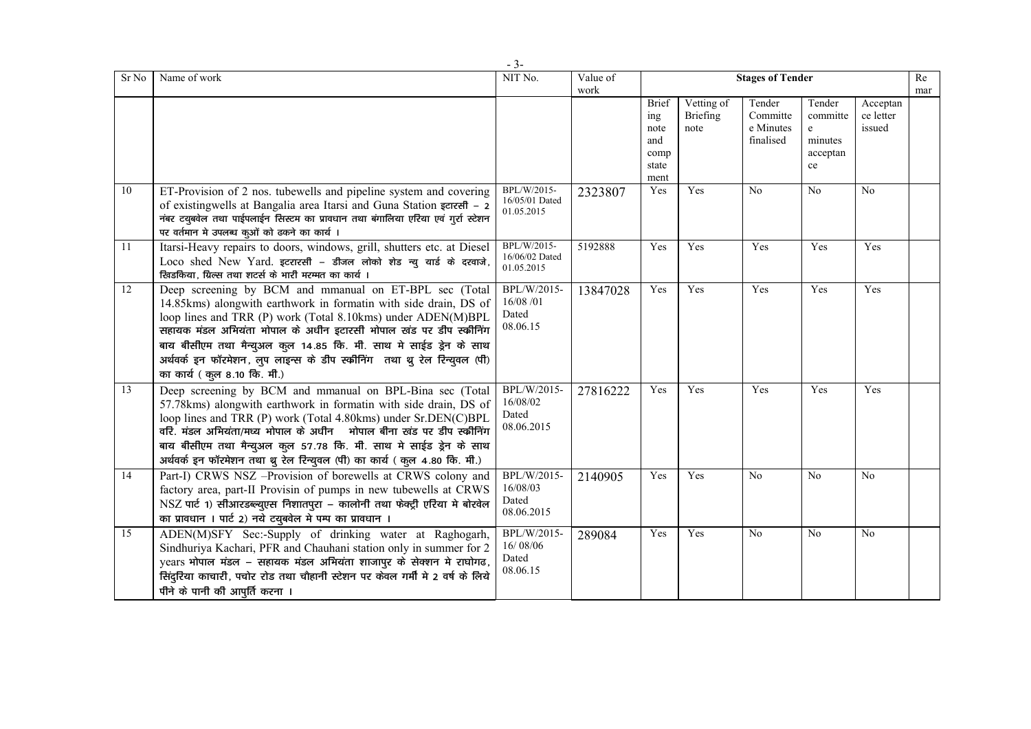|       |                                                                                                                                                                                                                                                                                                                                                                                                                                                       | $-3-$                                          |          |                                                             |                                       |                                              |                                                                 |                                 |     |
|-------|-------------------------------------------------------------------------------------------------------------------------------------------------------------------------------------------------------------------------------------------------------------------------------------------------------------------------------------------------------------------------------------------------------------------------------------------------------|------------------------------------------------|----------|-------------------------------------------------------------|---------------------------------------|----------------------------------------------|-----------------------------------------------------------------|---------------------------------|-----|
| Sr No | Name of work                                                                                                                                                                                                                                                                                                                                                                                                                                          | NIT No.                                        | Value of |                                                             |                                       | <b>Stages of Tender</b>                      |                                                                 |                                 | Re  |
|       |                                                                                                                                                                                                                                                                                                                                                                                                                                                       |                                                | work     | <b>Brief</b><br>ing<br>note<br>and<br>comp<br>state<br>ment | Vetting of<br><b>Briefing</b><br>note | Tender<br>Committe<br>e Minutes<br>finalised | Tender<br>committe<br>$\mathbf{e}$<br>minutes<br>acceptan<br>ce | Acceptan<br>ce letter<br>issued | mar |
| 10    | ET-Provision of 2 nos. tubewells and pipeline system and covering<br>of existingwells at Bangalia area Itarsi and Guna Station इटारसी - 2<br>नंबर टयूबवेल तथा पाईपलाईन सिस्टम का प्रावधान तथा बंगालिया एरिया एवं गर्रा स्टेशन<br>पर वर्तमान मे उपलब्ध कुओं को ढकने का कार्य ।                                                                                                                                                                         | BPL/W/2015-<br>16/05/01 Dated<br>01.05.2015    | 2323807  | Yes                                                         | Yes                                   | No                                           | No                                                              | No                              |     |
| 11    | Itarsi-Heavy repairs to doors, windows, grill, shutters etc. at Diesel<br>Loco shed New Yard. इटरारसी - डीजल लोको शेड न्यू यार्ड के दरवाजे,<br>खिडकिया, ग्रिल्स तथा शटर्स के भारी मरम्मत का कार्य ।                                                                                                                                                                                                                                                   | BPL/W/2015-<br>16/06/02 Dated<br>01.05.2015    | 5192888  | Yes                                                         | Yes                                   | Yes                                          | Yes                                                             | Yes                             |     |
| 12    | Deep screening by BCM and mmanual on ET-BPL sec (Total<br>14.85kms) alongwith earthwork in formatin with side drain, DS of<br>loop lines and TRR (P) work (Total 8.10kms) under ADEN(M)BPL<br>सहायक मंडल अभियंता भोपाल के अधीन इटारसी भोपाल खंड पर डीप स्क्रीनिंग<br>बाय बीसीएम तथा मैन्युअल कुल 14.85 कि. मी. साथ मे साईड ड्रेन के साथ<br>अर्थवर्क इन फॉरमेशन, लुप लाइन्स के डीप स्क्रीनिंग तथा थु रेल रिन्युवल (पी)<br>का कार्य ( कुल 8.10 कि. मी.) | BPL/W/2015-<br>16/08/01<br>Dated<br>08.06.15   | 13847028 | Yes                                                         | Yes                                   | Yes                                          | Yes                                                             | Yes                             |     |
| 13    | Deep screening by BCM and mmanual on BPL-Bina sec (Total<br>57.78kms) alongwith earthwork in formatin with side drain, DS of<br>loop lines and TRR (P) work (Total 4.80kms) under Sr.DEN(C)BPL<br>वरि. मंडल अभियंता/मध्य भोपाल के अधीन भोपाल बीना खंड पर डीप स्कीनिंग<br>बाय बीसीएम तथा मैन्युअल कुल 57.78 कि. मी. साथ मे साईड ड्रेन के साथ<br>अर्थवर्क इन फॉरमेशन तथा थु रेल रिन्युवल (पी) का कार्य ( कुल 4.80 कि. मी.)                              | BPL/W/2015-<br>16/08/02<br>Dated<br>08.06.2015 | 27816222 | Yes                                                         | Yes                                   | Yes                                          | Yes                                                             | Yes                             |     |
| 14    | Part-I) CRWS NSZ -Provision of borewells at CRWS colony and<br>factory area, part-II Provisin of pumps in new tubewells at CRWS<br>NSZ पार्ट 1) सीआरडब्ल्युएस निशातपुरा – कालोनी तथा फेक्ट्री एरिया मे बोरवेल<br>का प्रावधान । पार्ट 2) नये टयुबवेल मे पम्प का प्रावधान ।                                                                                                                                                                             | BPL/W/2015-<br>16/08/03<br>Dated<br>08.06.2015 | 2140905  | Yes                                                         | Yes                                   | No                                           | No                                                              | N <sub>0</sub>                  |     |
| 15    | ADEN(M)SFY Sec:-Supply of drinking water at Raghogarh,<br>Sindhuriya Kachari, PFR and Chauhani station only in summer for 2<br>years भोपाल मंडल – सहायक मंडल अभियंता शाजापुर के सेक्शन मे राघोगढ,<br>सिंदुरिया काचारी, पचोर रोड तथा चौहानी स्टेशन पर केवल गर्मी मे 2 वर्ष के लिये<br>पीने के पानी की आपूर्ति करना ।                                                                                                                                   | BPL/W/2015-<br>16/08/06<br>Dated<br>08.06.15   | 289084   | Yes                                                         | Yes                                   | No                                           | No                                                              | N <sub>0</sub>                  |     |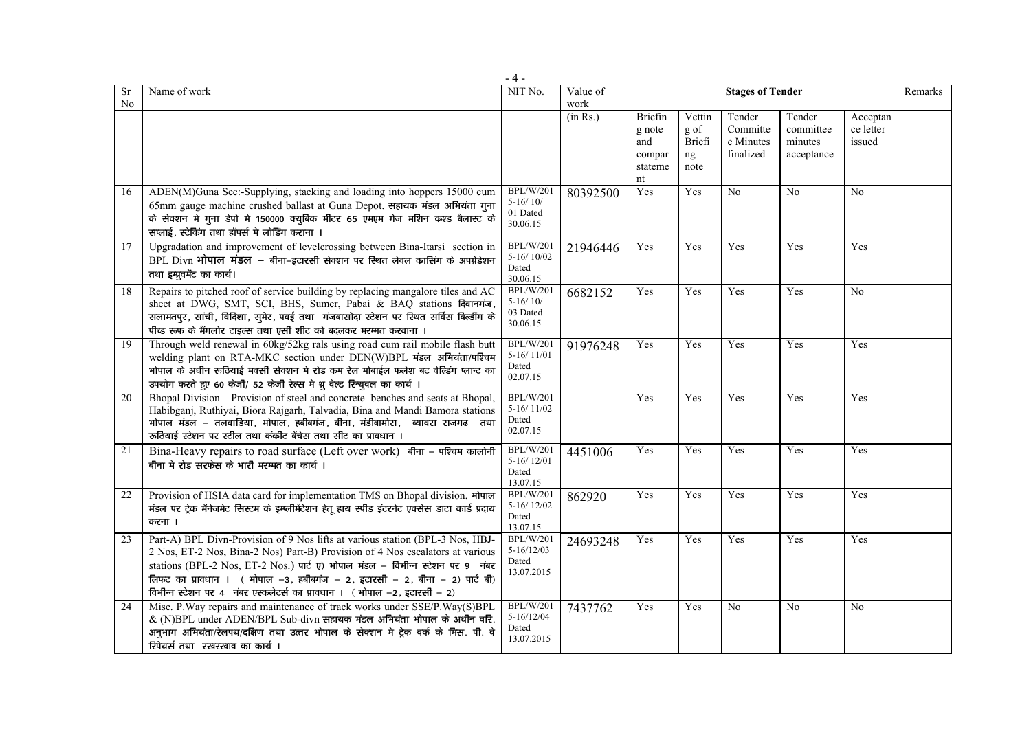|                             |                                                                                                                                                                                                                                                                                                                                                                                                            | $-4-$                                                     |                  |                                                     |                                        |                                              |                                              |                                 |         |
|-----------------------------|------------------------------------------------------------------------------------------------------------------------------------------------------------------------------------------------------------------------------------------------------------------------------------------------------------------------------------------------------------------------------------------------------------|-----------------------------------------------------------|------------------|-----------------------------------------------------|----------------------------------------|----------------------------------------------|----------------------------------------------|---------------------------------|---------|
| <b>Sr</b><br>N <sub>0</sub> | Name of work                                                                                                                                                                                                                                                                                                                                                                                               | NIT No.                                                   | Value of<br>work |                                                     |                                        | <b>Stages of Tender</b>                      |                                              |                                 | Remarks |
|                             |                                                                                                                                                                                                                                                                                                                                                                                                            |                                                           | (in Rs.)         | Briefin<br>g note<br>and<br>compar<br>stateme<br>nt | Vettin<br>g of<br>Briefi<br>ng<br>note | Tender<br>Committe<br>e Minutes<br>finalized | Tender<br>committee<br>minutes<br>acceptance | Acceptan<br>ce letter<br>issued |         |
| 16                          | ADEN(M)Guna Sec:-Supplying, stacking and loading into hoppers 15000 cum<br>65mm gauge machine crushed ballast at Guna Depot. सहायक मंडल अभियंता ग्ना<br>के सेक्शन मे गुना डेपो मे 150000 क्यूबिक मीटर 65 एमएम गेज मशिन कश्ड बैलास्ट के<br>सप्लाई, स्टेकिंग तथा हॉपर्स मे लोडिंग कराना ।                                                                                                                    | <b>BPL/W/201</b><br>$5 - 16/10/$<br>01 Dated<br>30.06.15  | 80392500         | Yes                                                 | Yes                                    | No                                           | No                                           | $\overline{No}$                 |         |
| 17                          | Upgradation and improvement of levelcrossing between Bina-Itarsi section in<br>BPL Divn भोपाल मंडल – बीना-इटारसी सेक्शन पर स्थित लेवल कासिंग के अपग्रेडेशन<br>तथा इम्प्रुवमेंट का कार्य।                                                                                                                                                                                                                   | <b>BPL/W/201</b><br>$5-16/10/02$<br>Dated<br>30.06.15     | 21946446         | Yes                                                 | Yes                                    | Yes                                          | Yes                                          | Yes                             |         |
| 18                          | Repairs to pitched roof of service building by replacing mangalore tiles and AC<br>sheet at DWG, SMT, SCI, BHS, Sumer, Pabai & BAQ stations दिवानगंज,<br>सलामतपुर, सांची, विदिशा, सुमेर, पवई तथा गंजबासोदा स्टेशन पर स्थित सर्विस बिल्डींग के<br>पीच्ड रूफ के मैंगलोर टाइल्स तथा एसी शीट को बदलकर मरम्मत करवाना ।                                                                                          | <b>BPL/W/201</b><br>$5-16/10/$<br>03 Dated<br>30.06.15    | 6682152          | Yes                                                 | Yes                                    | Yes                                          | Yes                                          | No                              |         |
| 19                          | Through weld renewal in 60kg/52kg rals using road cum rail mobile flash butt<br>welding plant on RTA-MKC section under DEN(W)BPL मंडल अभियंता/पश्चिम<br>भोपाल के अधीन रूठियाई मक्सी सेक्शन मे रोड कम रेल मोबाईल फलेश बट वेल्डिंग प्लान्ट का<br>उपयोग करते हुए 60 केजी/ 52 केजी रेल्स मे थु वेल्ड रिन्युवल का कार्य ।                                                                                       | <b>BPL/W/201</b><br>$5-16/11/01$<br>Dated<br>02.07.15     | 91976248         | Yes                                                 | Yes                                    | Yes                                          | Yes                                          | Yes                             |         |
| 20                          | Bhopal Division – Provision of steel and concrete benches and seats at Bhopal,<br>Habibganj, Ruthiyai, Biora Rajgarh, Talvadia, Bina and Mandi Bamora stations<br>भोपाल मंडल – तलवाडिया, भोपाल, हबीबगंज, बीना, मंडीबामोरा,<br>ब्यावरा राजगढ तथा<br>रूठियाई स्टेशन पर स्टील तथा कंकीट बेंचेस तथा सीट का प्रावधान ।                                                                                          | <b>BPL/W/201</b><br>$5-16/11/02$<br>Dated<br>02.07.15     |                  | Yes                                                 | Yes                                    | Yes                                          | Yes                                          | Yes                             |         |
| 21                          | Bina-Heavy repairs to road surface (Left over work) बीना - पश्चिम कालोनी<br>बीना मे रोड सरफेस के भारी मरम्मत का कार्य ।                                                                                                                                                                                                                                                                                    | <b>BPL/W/201</b><br>$5-16/12/01$<br>Dated<br>13.07.15     | 4451006          | Yes                                                 | Yes                                    | Yes                                          | Yes                                          | Yes                             |         |
| 22                          | Provision of HSIA data card for implementation TMS on Bhopal division. भोपाल<br>मंडल पर ट्रेक मॅनेजमेट सिस्टम के इम्प्लीमेंटेशन हेतू हाय स्पीड इंटरनेट एक्सेस डाटा कार्ड प्रदाय<br>करना ।                                                                                                                                                                                                                  | <b>BPL/W/201</b><br>$5-16/12/02$<br>Dated<br>13.07.15     | 862920           | Yes                                                 | Yes                                    | Yes                                          | Yes                                          | Yes                             |         |
| 23                          | Part-A) BPL Divn-Provision of 9 Nos lifts at various station (BPL-3 Nos, HBJ-<br>2 Nos, ET-2 Nos, Bina-2 Nos) Part-B) Provision of 4 Nos escalators at various<br>stations (BPL-2 Nos, ET-2 Nos.) पार्ट ए) भोपाल मंडल - विभीन्न स्टेशन पर 9 नंबर<br>लिफट का प्रावधान । (भोपाल -3, हबीबगंज - 2, इटारसी - 2, बीना - 2) पार्ट बी)<br>विभीन्न स्टेशन पर 4 नंबर एस्कलेटर्स का प्रावधान । (भोपाल -2, इटारसी - 2) | <b>BPL/W/201</b><br>$5-16/12/03$<br>Dated<br>13.07.2015   | 24693248         | Yes                                                 | Yes                                    | Yes                                          | Yes                                          | Yes                             |         |
| 24                          | Misc. P. Way repairs and maintenance of track works under SSE/P. Way(S)BPL<br>$\&$ (N)BPL under ADEN/BPL Sub-divn सहायक मंडल अभियंता भोपाल के अधीन वरि.<br>अनुभाग अभियंता/रेलपथ/दक्षिण तथा उत्तर भोपाल के सेक्शन मे ट्रेक वर्क के मिस. पी. वे<br>रिपेयर्स तथा रखरखाव का कार्य।                                                                                                                             | <b>BPL/W/201</b><br>$5 - 16/12/04$<br>Dated<br>13.07.2015 | 7437762          | Yes                                                 | Yes                                    | No                                           | N <sub>0</sub>                               | No                              |         |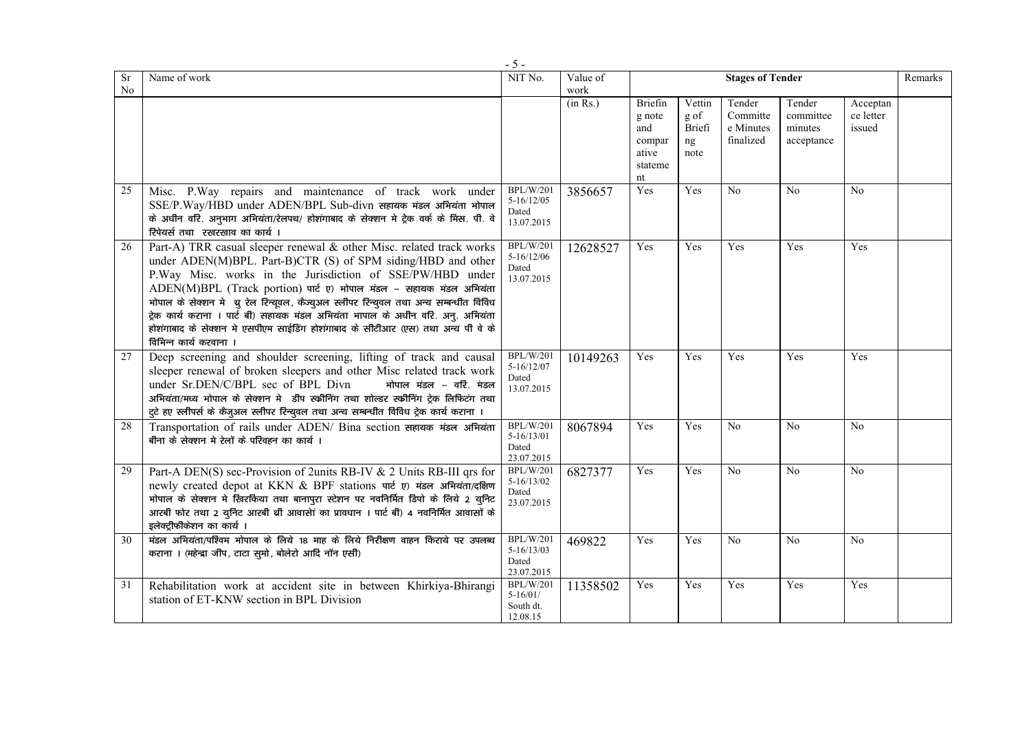| <b>Sr</b><br>No | Name of work                                                                                                                                                                                                                                                                                                                                                                                                                                                                                                                                                       | NIT No.                                                   | Value of<br>work | <b>Stages of Tender</b>                                      |                                        |                                              |                                              |                                 |  |  |
|-----------------|--------------------------------------------------------------------------------------------------------------------------------------------------------------------------------------------------------------------------------------------------------------------------------------------------------------------------------------------------------------------------------------------------------------------------------------------------------------------------------------------------------------------------------------------------------------------|-----------------------------------------------------------|------------------|--------------------------------------------------------------|----------------------------------------|----------------------------------------------|----------------------------------------------|---------------------------------|--|--|
|                 |                                                                                                                                                                                                                                                                                                                                                                                                                                                                                                                                                                    |                                                           | (in Rs.)         | Briefin<br>g note<br>and<br>compar<br>ative<br>stateme<br>nt | Vettin<br>g of<br>Briefi<br>ng<br>note | Tender<br>Committe<br>e Minutes<br>finalized | Tender<br>committee<br>minutes<br>acceptance | Acceptan<br>ce letter<br>issued |  |  |
| 25              | Misc. P. Way repairs and maintenance of track work under<br>SSE/P.Way/HBD under ADEN/BPL Sub-divn सहायक मंडल अभियंता भोपाल<br>के अधीन वरि. अनुभाग अभियंता/रेलपथ/ होशंगाबाद के सेक्शन मे ट्रेक वर्क के मिस. पी. वे<br>रिपेयर्स तथा रखरखाव का कार्य।                                                                                                                                                                                                                                                                                                                 | <b>BPL/W/201</b><br>$5 - 16/12/05$<br>Dated<br>13.07.2015 | 3856657          | Yes                                                          | Yes                                    | No                                           | N <sub>0</sub>                               | N <sub>0</sub>                  |  |  |
| 26              | Part-A) TRR casual sleeper renewal & other Misc. related track works<br>under ADEN(M)BPL. Part-B)CTR (S) of SPM siding/HBD and other<br>P.Way Misc. works in the Jurisdiction of SSE/PW/HBD under<br>ADEN(M)BPL (Track portion) पार्ट ए) भोपाल मंडल - सहायक मंडल अभियंता<br>भोपाल के सेक्शन में थु रेल रिन्यूवल, कैज्युअल स्लीपर रिन्युवल तथा अन्य सम्बन्धीत विविध<br>ट्रेक कार्य कराना । पार्ट बी) सहायक मंडल अभियंता भापाल के अधीन वरि. अनु. अभियंता<br>होशंगाबाद के सेक्शन मे एसपीएम साईडिंग होशंगाबाद के सीटीआर (एस) तथा अन्य पी वे के<br>विभिन्न कार्य करवाना | <b>BPL/W/201</b><br>$5 - 16/12/06$<br>Dated<br>13.07.2015 | 12628527         | Yes                                                          | Yes                                    | Yes                                          | Yes                                          | Yes                             |  |  |
| 27              | Deep screening and shoulder screening, lifting of track and causal<br>sleeper renewal of broken sleepers and other Misc related track work<br>under Sr.DEN/C/BPL sec of BPL Divn<br>भोपाल मंडल – वरि. मंडल<br>अभियंता/मध्य भोपाल के सेक्शन मे डीप स्क्रीनिंग तथा शोल्डर स्क्रीनिंग ट्रेक लिफिटंग तथा<br>टुटे हए स्लीपर्स के कैजुअल स्लीपर रिन्युवल तथा अन्य सम्बन्धीत विविध ट्रेक कार्य कराना ।                                                                                                                                                                    | <b>BPL/W/201</b><br>$5 - 16/12/07$<br>Dated<br>13.07.2015 | 10149263         | Yes                                                          | Yes                                    | Yes                                          | Yes                                          | Yes                             |  |  |
| 28              | Transportation of rails under ADEN/ Bina section सहायक मंडल अभियंता<br>बीना के सेक्शन मे रेलों के परिवहन का कार्य ।                                                                                                                                                                                                                                                                                                                                                                                                                                                | <b>BPL/W/201</b><br>$5-16/13/01$<br>Dated<br>23.07.2015   | 8067894          | Yes                                                          | Yes                                    | N <sub>0</sub>                               | No                                           | N <sub>0</sub>                  |  |  |
| 29              | Part-A DEN(S) sec-Provision of 2units RB-IV & 2 Units RB-III qrs for<br>newly created depot at KKN & BPF stations पार्ट ए) मंडल अभियंता/दक्षिण<br>भोपाल के सेक्शन मे खिरकिया तथा बानापुरा स्टेशन पर नवनिर्मित डिपो के लिये 2 युनिट<br>आरबी फोर तथा 2 युनिट आरबी थी आवासेां का प्रावधान । पार्ट बी) 4 नवनिर्मित आवासों के<br>इलेक्ट्रीफीकेशन का कार्य ।                                                                                                                                                                                                             | <b>BPL/W/201</b><br>$5 - 16/13/02$<br>Dated<br>23.07.2015 | 6827377          | Yes                                                          | Yes                                    | N <sub>0</sub>                               | $\overline{No}$                              | N <sub>o</sub>                  |  |  |
| 30              | मंडल अभियंता/पश्चिम भोपाल के लिये 18 माह के लिये निरीक्षण वाहन किराये पर उपलब्ध<br>कराना । (महेन्द्रा जीप, टाटा सुमो, बोलेरो आदि नॉन एसी)                                                                                                                                                                                                                                                                                                                                                                                                                          | <b>BPL/W/201</b><br>$5 - 16/13/03$<br>Dated<br>23.07.2015 | 469822           | Yes                                                          | Yes                                    | No                                           | N <sub>0</sub>                               | No                              |  |  |
| 31              | Rehabilitation work at accident site in between Khirkiya-Bhirangi<br>station of ET-KNW section in BPL Division                                                                                                                                                                                                                                                                                                                                                                                                                                                     | <b>BPL/W/201</b><br>$5 - 16/01/$<br>South dt.<br>12.08.15 | 11358502         | Yes                                                          | Yes                                    | Yes                                          | Yes                                          | Yes                             |  |  |

- 5 -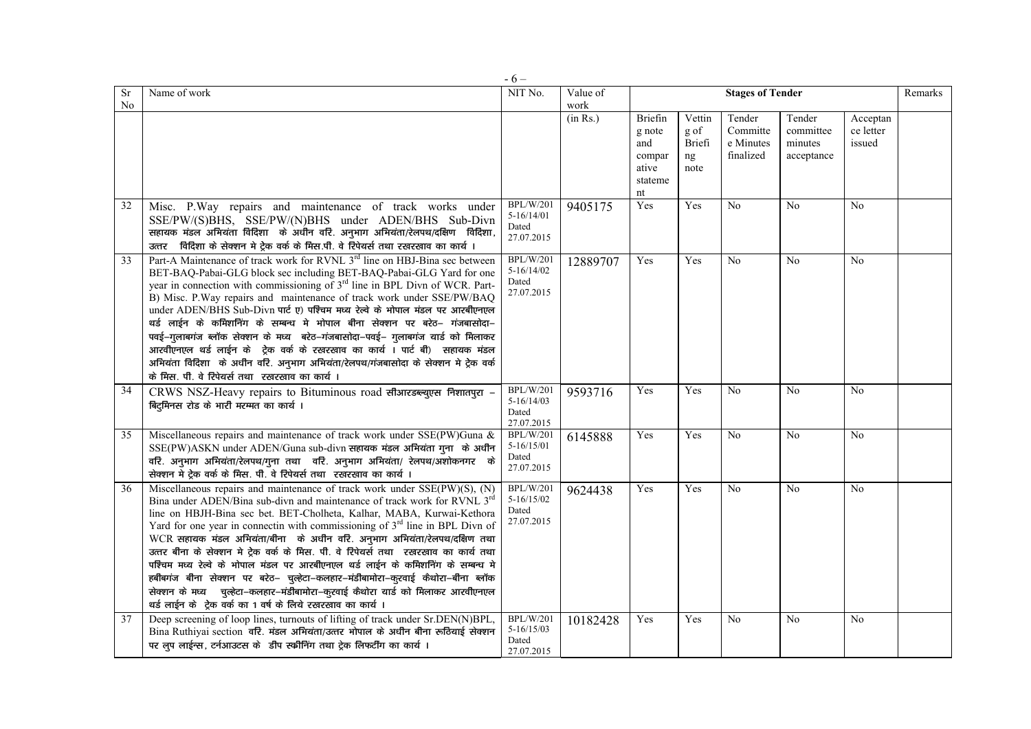|                 |                                                                                                                                                                                                                                                                                                                                                                                                                                                                                                                                                                                                                                                                                                                                                                                                                         | $-6-$                                                     |                  |                                                              |                                        |                                              |                                              |                                 |         |
|-----------------|-------------------------------------------------------------------------------------------------------------------------------------------------------------------------------------------------------------------------------------------------------------------------------------------------------------------------------------------------------------------------------------------------------------------------------------------------------------------------------------------------------------------------------------------------------------------------------------------------------------------------------------------------------------------------------------------------------------------------------------------------------------------------------------------------------------------------|-----------------------------------------------------------|------------------|--------------------------------------------------------------|----------------------------------------|----------------------------------------------|----------------------------------------------|---------------------------------|---------|
| Sr<br>No        | Name of work                                                                                                                                                                                                                                                                                                                                                                                                                                                                                                                                                                                                                                                                                                                                                                                                            | NIT No.                                                   | Value of<br>work |                                                              |                                        | <b>Stages of Tender</b>                      |                                              |                                 | Remarks |
|                 |                                                                                                                                                                                                                                                                                                                                                                                                                                                                                                                                                                                                                                                                                                                                                                                                                         |                                                           | (in Rs.)         | Briefin<br>g note<br>and<br>compar<br>ative<br>stateme<br>nt | Vettin<br>g of<br>Briefi<br>ng<br>note | Tender<br>Committe<br>e Minutes<br>finalized | Tender<br>committee<br>minutes<br>acceptance | Acceptan<br>ce letter<br>issued |         |
| 32              | Misc. P.Way repairs and maintenance of track works under<br>SSE/PW/(S)BHS, SSE/PW/(N)BHS under ADEN/BHS Sub-Divn<br>सहायक मंडल अभियंता विदिशा के अधीन वरि. अनुभाग अभियंता/रेलपथ/दक्षिण विदिशा,<br>उत्तर विदिशा के सेक्शन मे ट्रेक वर्क के मिस.पी. वे रिपेयर्स तथा रखरखाव का कार्य।                                                                                                                                                                                                                                                                                                                                                                                                                                                                                                                                      | <b>BPL/W/201</b><br>$5 - 16/14/01$<br>Dated<br>27.07.2015 | 9405175          | Yes                                                          | Yes                                    | No                                           | No                                           | N <sub>0</sub>                  |         |
| $\overline{33}$ | Part-A Maintenance of track work for RVNL 3 <sup>rd</sup> line on HBJ-Bina sec between<br>BET-BAQ-Pabai-GLG block sec including BET-BAQ-Pabai-GLG Yard for one<br>year in connection with commissioning of 3 <sup>rd</sup> line in BPL Divn of WCR. Part-<br>B) Misc. P. Way repairs and maintenance of track work under SSE/PW/BAQ<br>under ADEN/BHS Sub-Divn पार्ट ए) पश्चिम मध्य रेल्वे के भोपाल मंडल पर आरबीएनएल<br>थर्ड लाईन के कमिशनिंग के सम्बन्ध मे भोपाल बीना सेक्शन पर बरेठ– गंजबासोदा–<br>पवई–गुलाबगंज ब्लॉक सेक्शन के मध्य बरेठ–गंजबासोदा–पवई– गुलाबगंज यार्ड को मिलाकर<br>आरवीएनएल थर्ड लाईन के ट्रेक वर्क के रखरखाव का कार्य । पार्ट बी) सहायक मंडल<br>अभियंता विदिशा के अधीन वरि. अनुभाग अभियंता/रेलपथ/गंजबासोदा के सेक्शन मे ट्रेक वर्क<br>के मिस. पी. वे रिपेयर्स तथा रखरखाव का कार्य ।                | <b>BPL/W/201</b><br>$5 - 16/14/02$<br>Dated<br>27.07.2015 | 12889707         | Yes                                                          | Yes                                    | No                                           | No                                           | N <sub>0</sub>                  |         |
| $\overline{34}$ | CRWS NSZ-Heavy repairs to Bituminous road सीआरडब्ल्युएस निशातपुरा -<br>बिट्मिनस रोड के भारी मरम्मत का कार्य ।                                                                                                                                                                                                                                                                                                                                                                                                                                                                                                                                                                                                                                                                                                           | <b>BPL/W/201</b><br>$5 - 16/14/03$<br>Dated<br>27.07.2015 | 9593716          | Yes                                                          | Yes                                    | No                                           | N <sub>o</sub>                               | N <sub>0</sub>                  |         |
| 35              | Miscellaneous repairs and maintenance of track work under SSE(PW)Guna &<br>SSE(PW)ASKN under ADEN/Guna sub-divn सहायक मंडल अभियंता गना के अधीन<br>वरि. अनुभाग अभियंता/रेलपथ/गुना तथा वरि. अनुभाग अभियंता/ रेलपथ/अशोकनगर के<br>सेक्शन मे ट्रेक वर्क के मिस. पी. वे रिपेयर्स तथा रखरखाव का कार्य ।                                                                                                                                                                                                                                                                                                                                                                                                                                                                                                                        | <b>BPL/W/201</b><br>$5 - 16/15/01$<br>Dated<br>27.07.2015 | 6145888          | Yes                                                          | Yes                                    | No                                           | No                                           | N <sub>0</sub>                  |         |
| 36              | Miscellaneous repairs and maintenance of track work under SSE(PW)(S), (N)<br>Bina under ADEN/Bina sub-divn and maintenance of track work for RVNL 3 <sup>rd</sup><br>line on HBJH-Bina sec bet. BET-Cholheta, Kalhar, MABA, Kurwai-Kethora<br>Yard for one year in connectin with commissioning of $3rd$ line in BPL Divn of<br>WCR सहायक मंडल अभियंता/बीना के अधीन वरि. अनुभाग अभियंता/रेलपथ/दक्षिण तथा<br>उत्तर बीना के सेक्शन मे ट्रेक वर्क के मिस. पी. वे रिपेयर्स तथा रखरखाव का कार्य तथा<br>पश्चिम मध्य रेल्वे के भोपाल मंडल पर आरबीएनएल थर्ड लाईन के कमिशनिंग के सम्बन्ध मे<br>हबीबगंज बीना सेक्शन पर बरेठ- चुल्हेटा-कलहार-मंडीबामोरा-कुरवाई कैथोरा-बीना ब्लॉक<br>सेक्शन के मध्य पुल्हेटा-कलहार-मंडीबामोरा-कुरवाई कैथोरा यार्ड को मिलाकर आरवीएनएल<br>थर्ड लाईन के ट्रेक वर्क का 1 वर्ष के लिये रखरखाव का कार्य । | <b>BPL/W/201</b><br>$5-16/15/02$<br>Dated<br>27.07.2015   | 9624438          | Yes                                                          | Yes                                    | No                                           | No                                           | N <sub>0</sub>                  |         |
| 37              | Deep screening of loop lines, turnouts of lifting of track under Sr.DEN(N)BPL,<br>Bina Ruthiyai section वरि. मंडल अभियंता/उत्तर भोपाल के अधीन बीना रूठियाई सेक्शन<br>पर लुप लाईन्स, टर्नआउटस के डीप स्क्रीनिंग तथा ट्रेक लिफटींग का कार्य।                                                                                                                                                                                                                                                                                                                                                                                                                                                                                                                                                                              | BPL/W/201<br>$5 - 16/15/03$<br>Dated<br>27.07.2015        | 10182428         | Yes                                                          | Yes                                    | N <sub>0</sub>                               | No                                           | No                              |         |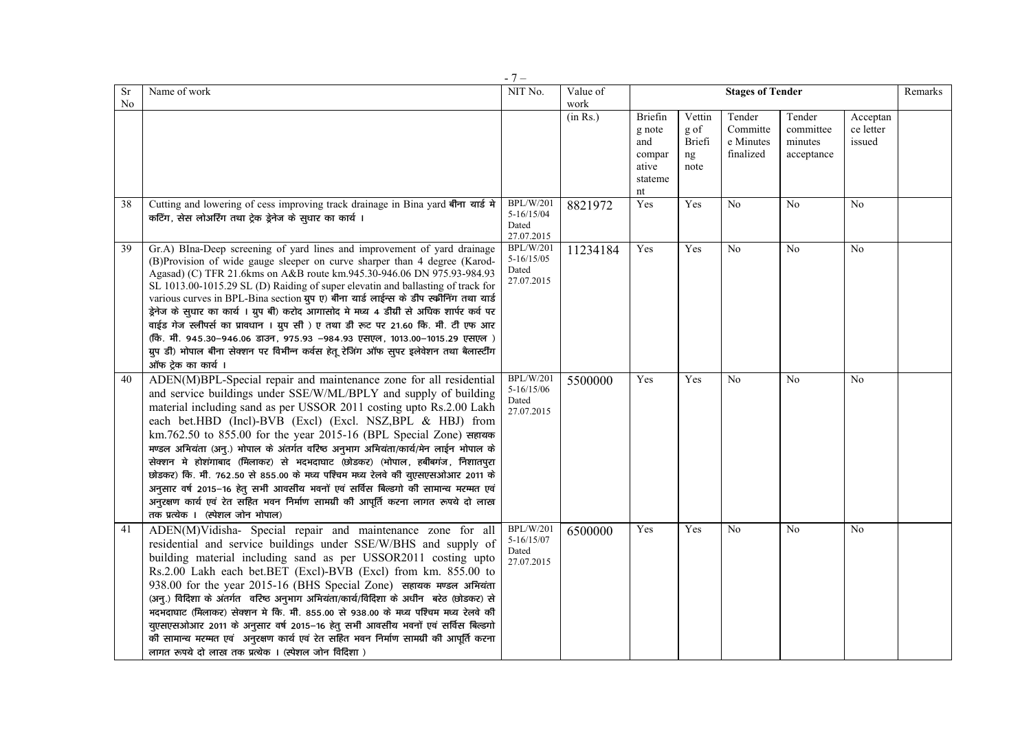| Sr<br>No | Name of work                                                                                                                                                                                                                                                                                                                                                                                                                                                                                                                                                                                                                                                                                                                                                                                                          | NIT No.                                                   | Value of<br>work |                                                              | <b>Stages of Tender</b><br>Remarks     |                                              |                                              |                                 |  |  |
|----------|-----------------------------------------------------------------------------------------------------------------------------------------------------------------------------------------------------------------------------------------------------------------------------------------------------------------------------------------------------------------------------------------------------------------------------------------------------------------------------------------------------------------------------------------------------------------------------------------------------------------------------------------------------------------------------------------------------------------------------------------------------------------------------------------------------------------------|-----------------------------------------------------------|------------------|--------------------------------------------------------------|----------------------------------------|----------------------------------------------|----------------------------------------------|---------------------------------|--|--|
|          |                                                                                                                                                                                                                                                                                                                                                                                                                                                                                                                                                                                                                                                                                                                                                                                                                       |                                                           | (in Rs.)         | Briefin<br>g note<br>and<br>compar<br>ative<br>stateme<br>nt | Vettin<br>g of<br>Briefi<br>ng<br>note | Tender<br>Committe<br>e Minutes<br>finalized | Tender<br>committee<br>minutes<br>acceptance | Acceptan<br>ce letter<br>issued |  |  |
| 38       | Cutting and lowering of cess improving track drainage in Bina yard बीना यार्ड मे<br>कटिंग, सेस लोअरिंग तथा ट्रेक ड्रेनेज के स्थार का कार्य।                                                                                                                                                                                                                                                                                                                                                                                                                                                                                                                                                                                                                                                                           | <b>BPL/W/201</b><br>$5-16/15/04$<br>Dated<br>27.07.2015   | 8821972          | Yes                                                          | Yes                                    | No                                           | No                                           | No                              |  |  |
| 39       | Gr.A) BIna-Deep screening of yard lines and improvement of yard drainage<br>(B)Provision of wide gauge sleeper on curve sharper than 4 degree (Karod-<br>Agasad) (C) TFR 21.6kms on A&B route km.945.30-946.06 DN 975.93-984.93<br>SL 1013.00-1015.29 SL (D) Raiding of super elevatin and ballasting of track for<br>various curves in BPL-Bina section ग्रुप ए) बीना यार्ड लाईन्स के डीप स्क्रीनिंग तथा यार्ड<br>ड्रेनेज के सुधार का कार्य । ग्रुप बी) करोद आगासोद मे मध्य 4 डीग्री से अधिक शार्पर कर्व पर<br>वाईड गेज स्लीपर्स का प्रावधान । ग्रुप सी ) ए तथा डी रूट पर 21.60 कि. मी. टी एफ आर<br>(कि. मी. 945.30–946.06 डाउन, 975.93 –984.93 एसएल, 1013.00–1015.29 एसएल)<br>ग्रुप डी) भोपाल बीना सेक्शन पर विभीन्न कर्वस हेतू रेजिंग ऑफ सुपर इलेवेशन तथा बैलास्टींग<br>ऑफ ट्रेक का कार्य ।                        | <b>BPL/W/201</b><br>$5 - 16/15/05$<br>Dated<br>27.07.2015 | 11234184         | Yes                                                          | Yes                                    | No                                           | N <sub>0</sub>                               | N <sub>0</sub>                  |  |  |
| 40       | ADEN(M)BPL-Special repair and maintenance zone for all residential<br>and service buildings under SSE/W/ML/BPLY and supply of building<br>material including sand as per USSOR 2011 costing upto Rs.2.00 Lakh<br>each bet.HBD (Incl)-BVB (Excl) (Excl. NSZ,BPL & HBJ) from<br>km.762.50 to 855.00 for the year 2015-16 (BPL Special Zone) सहायक<br>मण्डल अभियंता (अनु.) भोपाल के अंतर्गत वरिष्ठ अनुभाग अभियंता/कार्य/मेन लाईन भोपाल के<br>सेक्शन मे होशंगाबाद (मिलाकर) से भदभदाघाट (छोडकर) (भोपाल, हबीबगंज, निशातपुरा<br>छोडकर) कि. मी. 762.50 से 855.00 के मध्य पश्चिम मध्य रेलवे की युएसएसओआर 2011 के<br>अनुसार वर्ष 2015-16 हेतु सभी आवसीय भवनों एवं सर्विस बिल्डगो की सामान्य मरम्मत एवं<br>अनुरक्षण कार्य एवं रेत सहित भवन निर्माण सामग्री की आपूर्ति करना लागत रूपये दो लाख<br>तक प्रत्येक । (स्पेशल जोन भोपाल) | <b>BPL/W/201</b><br>5-16/15/06<br>Dated<br>27.07.2015     | 5500000          | Yes                                                          | Yes                                    | No                                           | N <sub>o</sub>                               | N <sub>0</sub>                  |  |  |
| 41       | ADEN(M)Vidisha- Special repair and maintenance zone for all<br>residential and service buildings under SSE/W/BHS and supply of<br>building material including sand as per USSOR2011 costing upto<br>Rs.2.00 Lakh each bet.BET (Excl)-BVB (Excl) from km. 855.00 to<br>938.00 for the year 2015-16 (BHS Special Zone) सहायक मण्डल अभियंता<br>(अनु.) विदिशा के अंतर्गत वरिष्ठ अनुभाग अभियंता/कार्य/विदिशा के अधीन बरेठ (छोडकर) से<br>भदभदाघाट (मिलाकर) सेक्शन मे कि. मी. 855.00 से 938.00 के मध्य पश्चिम मध्य रेलवे की<br>युएसएसओआर 2011 के अनुसार वर्ष 2015-16 हेतु सभी आवसीय भवनों एवं सर्विस बिल्डगो<br>की सामान्य मरम्मत एवं अनुरक्षण कार्य एवं रेत सहित भवन निर्माण सामग्री की आपूर्ति करना<br>लागत रूपये दो लाख तक प्रत्येक । (स्पेशल जोन विदिशा )                                                                | <b>BPL/W/201</b><br>$5 - 16/15/07$<br>Dated<br>27.07.2015 | 6500000          | Yes                                                          | Yes                                    | No                                           | N <sub>0</sub>                               | No                              |  |  |

- 7 –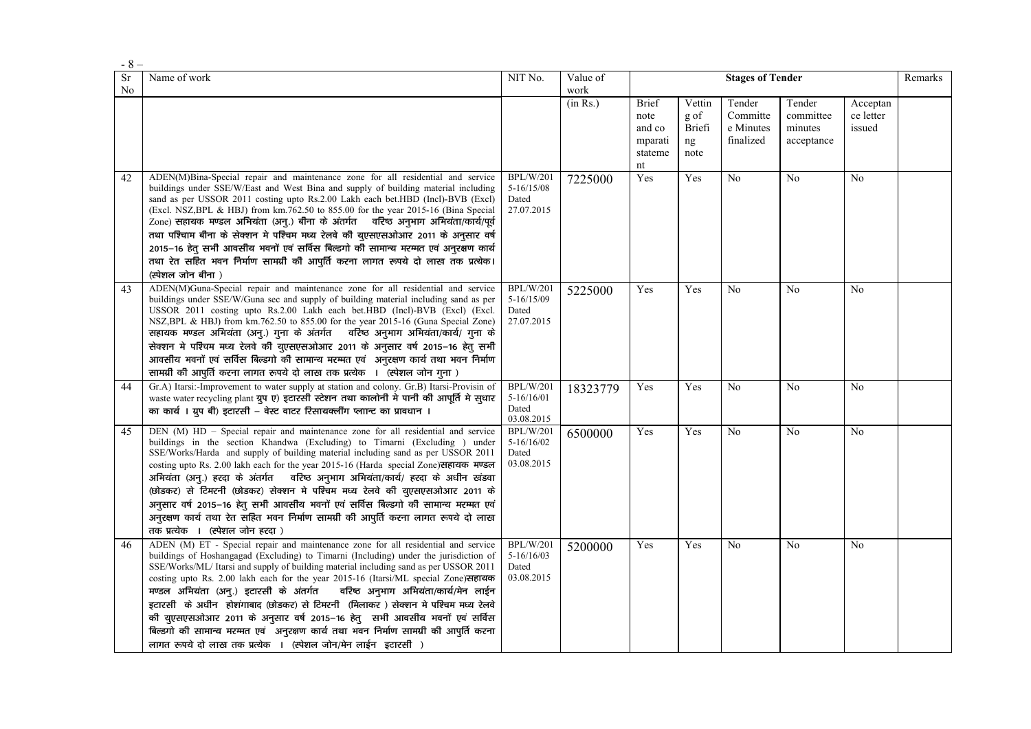| $-8-$    |                                                                                                                                                                                                                                                                                                                                                                                                                                                                                                                                                                                                                                                                                                                                                                      |                                                           |                  |                                                            |                                        |                                              |                                              |                                 |         |
|----------|----------------------------------------------------------------------------------------------------------------------------------------------------------------------------------------------------------------------------------------------------------------------------------------------------------------------------------------------------------------------------------------------------------------------------------------------------------------------------------------------------------------------------------------------------------------------------------------------------------------------------------------------------------------------------------------------------------------------------------------------------------------------|-----------------------------------------------------------|------------------|------------------------------------------------------------|----------------------------------------|----------------------------------------------|----------------------------------------------|---------------------------------|---------|
| Sr<br>No | Name of work                                                                                                                                                                                                                                                                                                                                                                                                                                                                                                                                                                                                                                                                                                                                                         | NIT No.                                                   | Value of<br>work |                                                            |                                        | <b>Stages of Tender</b>                      |                                              |                                 | Remarks |
|          |                                                                                                                                                                                                                                                                                                                                                                                                                                                                                                                                                                                                                                                                                                                                                                      |                                                           | (in Rs.)         | <b>Brief</b><br>note<br>and co<br>mparati<br>stateme<br>nt | Vettin<br>g of<br>Briefi<br>ng<br>note | Tender<br>Committe<br>e Minutes<br>finalized | Tender<br>committee<br>minutes<br>acceptance | Acceptan<br>ce letter<br>issued |         |
| 42       | ADEN(M)Bina-Special repair and maintenance zone for all residential and service<br>buildings under SSE/W/East and West Bina and supply of building material including<br>sand as per USSOR 2011 costing upto Rs.2.00 Lakh each bet.HBD (Incl)-BVB (Excl)<br>(Excl. NSZ, BPL & HBJ) from km. 762.50 to 855.00 for the year 2015-16 (Bina Special<br>Zone) सहायक मण्डल अभियंता (अनु.) बीना के अंतर्गत वरिष्ठ अनुभाग अभियंता/कार्य/पूर्व<br>तथा पश्चिाम बीना के सेक्शन मे पश्चिम मध्य रेलवे की युएसएसओआर 2011 के अनुसार वर्ष<br>2015-16 हेतु सभी आवसीय भवनों एवं सर्विस बिल्डगो की सामान्य मरम्मत एवं अनुरक्षण कार्य<br>तथा रेत सहित भवन निर्माण सामग्री की आपूर्ति करना लागत रूपये दो लाख तक प्रत्येक।<br>(स्पेशल जोन बीना)                                            | <b>BPL/W/201</b><br>$5 - 16/15/08$<br>Dated<br>27.07.2015 | 7225000          | Yes                                                        | Yes                                    | No                                           | No                                           | N <sub>0</sub>                  |         |
| 43       | ADEN(M)Guna-Special repair and maintenance zone for all residential and service<br>buildings under SSE/W/Guna sec and supply of building material including sand as per<br>USSOR 2011 costing upto Rs.2.00 Lakh each bet.HBD (Incl)-BVB (Excl) (Excl.<br>NSZ, BPL & HBJ) from km.762.50 to 855.00 for the year 2015-16 (Guna Special Zone)<br>सहायक मण्डल अभियंता (अनु.) गुना के अंतर्गत वरिष्ठ अनुभाग अभियंता/कार्य/ गुना के<br>सेक्शन मे पश्चिम मध्य रेलवे की युएसएसओआर 2011 के अनुसार वर्ष 2015-16 हेत् सभी<br>आवसीय भवनों एवं सर्विस बिल्डगो की सामान्य मरम्मत एवं अनुरक्षण कार्य तथा भवन निर्माण<br>सामग्री की आपूर्ति करना लागत रूपये दो लाख तक प्रत्येक । (स्पेशल जोन गुना )                                                                                  | <b>BPL/W/201</b><br>5-16/15/09<br>Dated<br>27.07.2015     | 5225000          | Yes                                                        | Yes                                    | No                                           | N <sub>o</sub>                               | No                              |         |
| 44       | Gr.A) Itarsi:-Improvement to water supply at station and colony. Gr.B) Itarsi-Provisin of<br>waste water recycling plant ग्रुप ए) इटारसी स्टेशन तथा कालोनी मे पानी की आपूर्ति मे सुधार<br>का कार्य । ग्रुप बी) इटारसी – वेस्ट वाटर रिसायक्लींग प्लान्ट का प्रावधान ।                                                                                                                                                                                                                                                                                                                                                                                                                                                                                                 | <b>BPL/W/201</b><br>$5-16/16/01$<br>Dated<br>03.08.2015   | 18323779         | Yes                                                        | Yes                                    | N <sub>0</sub>                               | N <sub>0</sub>                               | N <sub>0</sub>                  |         |
| 45       | DEN (M) HD – Special repair and maintenance zone for all residential and service<br>buildings in the section Khandwa (Excluding) to Timarni (Excluding ) under<br>SSE/Works/Harda and supply of building material including sand as per USSOR 2011<br>costing upto Rs. 2.00 lakh each for the year 2015-16 (Harda special Zone) सहायक मण्डल<br>अभियंता (अन्.) हरदा के अंतर्गत वरिष्ठ अनुभाग अभियंता/कार्य/ हरदा के अधीन खंडवा<br>(छोडकर) से टिमरनी (छोडकर) सेक्शन मे पश्चिम मध्य रेलवे की युएसएसओआर 2011 के<br>अनुसार वर्ष 2015–16 हेत् सभी आवसीय भवनों एवं सर्विस बिल्डगो की सामान्य मरम्मत एवं<br>अनुरक्षण कार्य तथा रेत सहित भवन निर्माण सामग्री की आपुर्ति करना लागत रूपये दो लाख<br>तक प्रत्येक । (स्पेशल जोन हरदा)                                             | BPL/W/201<br>$5 - 16/16/02$<br>Dated<br>03.08.2015        | 6500000          | Yes                                                        | Yes                                    | N <sub>0</sub>                               | No                                           | N <sub>0</sub>                  |         |
| 46       | ADEN (M) ET - Special repair and maintenance zone for all residential and service<br>buildings of Hoshangagad (Excluding) to Timarni (Including) under the jurisdiction of<br>SSE/Works/ML/ Itarsi and supply of building material including sand as per USSOR 2011<br>costing upto Rs. 2.00 lakh each for the year 2015-16 (Itarsi/ML special Zone) सहायक<br>मण्डल अभियंता (अन्.) इटारसी के अंतर्गत<br>वरिष्ठ अनुभाग अभियंता/कार्य/मेन लाईन<br>इटारसी के अधीन होशंगाबाद (छोडकर) से टिमरनी (मिलाकर) सेक्शन मे पश्चिम मध्य रेलवे<br>की युएसएसओआर 2011 के अनुसार वर्ष 2015-16 हेतु सभी आवसीय भवनों एवं सर्विस<br>बिल्डगो की सामान्य मरम्मत एवं अनुरक्षण कार्य तथा भवन निर्माण सामग्री की आपूर्ति करना<br>लागत रूपये दो लाख तक प्रत्येक । (स्पेशल जोन/मेन लाईन इटारसी ) | <b>BPL/W/201</b><br>$5-16/16/03$<br>Dated<br>03.08.2015   | 5200000          | Yes                                                        | Yes                                    | No                                           | N <sub>0</sub>                               | N <sub>0</sub>                  |         |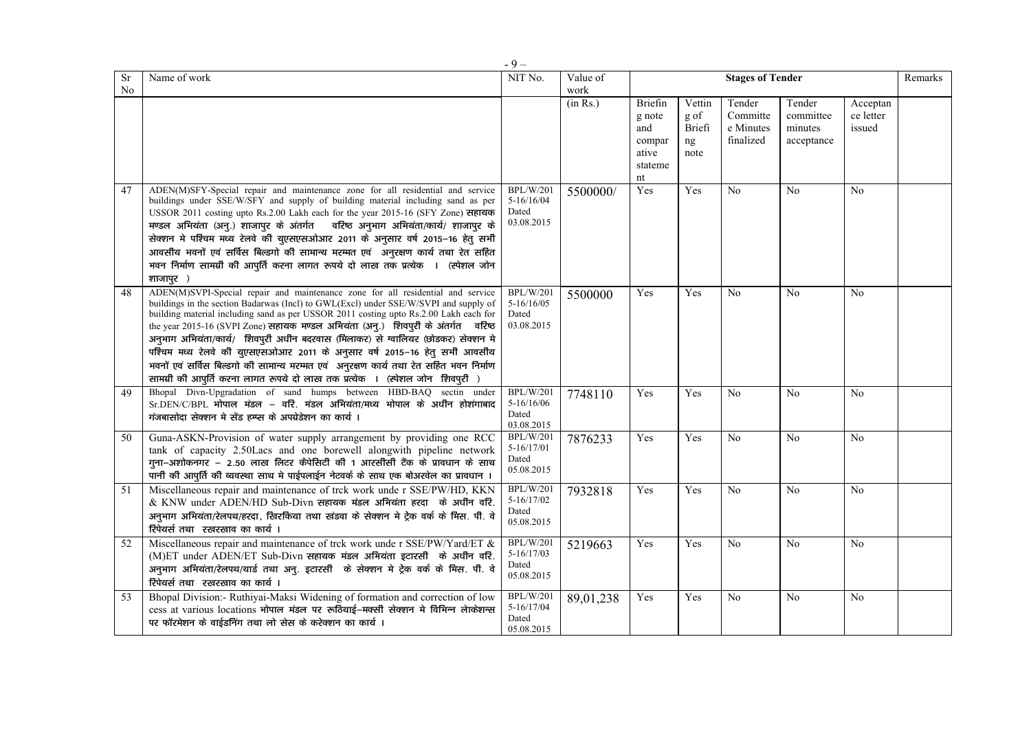|          |                                                                                                                                                                                                                                                                                                                                                                                                                                                                                                                                                                                                                                                                                                   | $-9-$                                                     |                  |                                                              |                                        |                                              |                                              |                                 |         |
|----------|---------------------------------------------------------------------------------------------------------------------------------------------------------------------------------------------------------------------------------------------------------------------------------------------------------------------------------------------------------------------------------------------------------------------------------------------------------------------------------------------------------------------------------------------------------------------------------------------------------------------------------------------------------------------------------------------------|-----------------------------------------------------------|------------------|--------------------------------------------------------------|----------------------------------------|----------------------------------------------|----------------------------------------------|---------------------------------|---------|
| Sr<br>No | Name of work                                                                                                                                                                                                                                                                                                                                                                                                                                                                                                                                                                                                                                                                                      | NIT No.                                                   | Value of<br>work |                                                              |                                        | <b>Stages of Tender</b>                      |                                              |                                 | Remarks |
|          |                                                                                                                                                                                                                                                                                                                                                                                                                                                                                                                                                                                                                                                                                                   |                                                           | (in Rs.)         | Briefin<br>g note<br>and<br>compar<br>ative<br>stateme<br>nt | Vettin<br>g of<br>Briefi<br>ng<br>note | Tender<br>Committe<br>e Minutes<br>finalized | Tender<br>committee<br>minutes<br>acceptance | Acceptan<br>ce letter<br>issued |         |
| 47       | ADEN(M)SFY-Special repair and maintenance zone for all residential and service<br>buildings under SSE/W/SFY and supply of building material including sand as per<br>USSOR 2011 costing upto Rs.2.00 Lakh each for the year 2015-16 (SFY Zone) सहायक<br>मण्डल अभियंता (अन्.) शाजापुर के अंतर्गत वरिष्ठ अनुभाग अभियंता/कार्य/ शाजापुर के<br>सेक्शन मे पश्चिम मध्य रेलवे की युएसएसओआर 2011 के अनुसार वर्ष 2015-16 हेत् सभी<br>आवसीय भवनों एवं सर्विस बिल्डगो की सामान्य मरम्मत एवं अनुरक्षण कार्य तथा रेत सहित<br>भवन निर्माण सामग्री की आपूर्ति करना लागत रूपये दो लाख तक प्रत्येक । (स्पेशल जोन<br>शाजापुर )                                                                                      | BPL/W/201<br>$5-16/16/04$<br>Dated<br>03.08.2015          | 5500000/         | Yes                                                          | Yes                                    | No                                           | N <sub>o</sub>                               | N <sub>0</sub>                  |         |
| 48       | ADEN(M)SVPI-Special repair and maintenance zone for all residential and service<br>buildings in the section Badarwas (Incl) to GWL(Excl) under SSE/W/SVPI and supply of<br>building material including sand as per USSOR 2011 costing upto Rs.2.00 Lakh each for<br>the year 2015-16 (SVPI Zone) सहायक मण्डल अभियंता (अन्.) शिवपुरी के अंतर्गत वरिष्ठ<br>अन्भाग अभियंता/कार्य/ शिवपुरी अधीन बदरवास (मिलाकर) से ग्वालियर (छोडकर) सेक्शन मे<br>पश्चिम मध्य रेलवे की युएसएसओआर 2011 के अनुसार वर्ष 2015-16 हेतु सभी आवसीय<br>भवनों एवं सर्विस बिल्डगो की सामान्य मरम्मत एवं अनुरक्षण कार्य तथा रेत सहित भवन निर्माण<br>सामग्री की आपूर्ति करना लागत रूपये दो लाख तक प्रत्येक । (स्पेशल जोन शिवपूरी ) | <b>BPL/W/201</b><br>$5-16/16/05$<br>Dated<br>03.08.2015   | 5500000          | Yes                                                          | Yes                                    | N <sub>0</sub>                               | N <sub>0</sub>                               | N <sub>0</sub>                  |         |
| 49       | Bhopal Divn-Upgradation of sand humps between HBD-BAQ sectin under<br>$Sr.DEN/C/BPL$ भोपाल मंडल – वरि. मंडल अभियंता/मध्य भोपाल के अधीन होशंगाबाद<br>गंजबासोदा सेक्शन मे सेंड हम्प्स के अपग्रेडेशन का कार्य ।                                                                                                                                                                                                                                                                                                                                                                                                                                                                                      | <b>BPL/W/201</b><br>$5 - 16/16/06$<br>Dated<br>03.08.2015 | 7748110          | Yes                                                          | Yes                                    | No                                           | No                                           | No                              |         |
| 50       | Guna-ASKN-Provision of water supply arrangement by providing one RCC<br>tank of capacity 2.50Lacs and one borewell alongwith pipeline network<br>गुना–अशोकनगर – 2.50 लाख लिटर कैपेसिटी की 1 आरसीसी टैंक के प्रावधान के साथ<br>पानी की आपूर्ति की व्यवस्था साथ मे पाईपलाईन नेटवर्क के साथ एक बोअरवेल का प्रावधान ।                                                                                                                                                                                                                                                                                                                                                                                 | <b>BPL/W/201</b><br>$5-16/17/01$<br>Dated<br>05.08.2015   | 7876233          | Yes                                                          | Yes                                    | No                                           | No                                           | No                              |         |
| 51       | Miscellaneous repair and maintenance of trck work unde r SSE/PW/HD, KKN<br>& KNW under ADEN/HD Sub-Divn सहायक मंडल अभियंता हरदा के अधीन वरि.<br>अनुभाग अभियंता/रेलपथ/हरदा, खिरकिया तथा खंडवा के सेक्शन मे ट्रेक वर्क के मिस. पी. वे<br>रिपेयर्स तथा रखरखाव का कार्य।                                                                                                                                                                                                                                                                                                                                                                                                                              | <b>BPL/W/201</b><br>$5-16/17/02$<br>Dated<br>05.08.2015   | 7932818          | Yes                                                          | Yes                                    | N <sub>0</sub>                               | No                                           | N <sub>0</sub>                  |         |
| 52       | Miscellaneous repair and maintenance of trck work under SSE/PW/Yard/ET &<br>(M)ET under ADEN/ET Sub-Divn सहायक मंडल अभियंता इटारसी के अधीन वरि.<br>अनुभाग अभियंता/रेलपथ/यार्ड तथा अन्. इटारसी के सेक्शन मे ट्रेक वर्क के मिस. पी. वे<br>रिपेयर्स तथा रखरखाव का कार्य ।                                                                                                                                                                                                                                                                                                                                                                                                                            | <b>BPL/W/201</b><br>$5-16/17/03$<br>Dated<br>05.08.2015   | 5219663          | Yes                                                          | Yes                                    | N <sub>0</sub>                               | No                                           | No                              |         |
| 53       | Bhopal Division: - Ruthiyai-Maksi Widening of formation and correction of low<br>cess at various locations भोपाल मंडल पर रूठियाई-मक्सी सेक्शन मे विभिन्न लेकिशन्स<br>पर फॉरमेशन के वाईडनिंग तथा लो सेस के करेक्शन का कार्य।                                                                                                                                                                                                                                                                                                                                                                                                                                                                       | <b>BPL/W/201</b><br>5-16/17/04<br>Dated<br>05.08.2015     | 89,01,238        | Yes                                                          | Yes                                    | N <sub>0</sub>                               | No                                           | N <sub>0</sub>                  |         |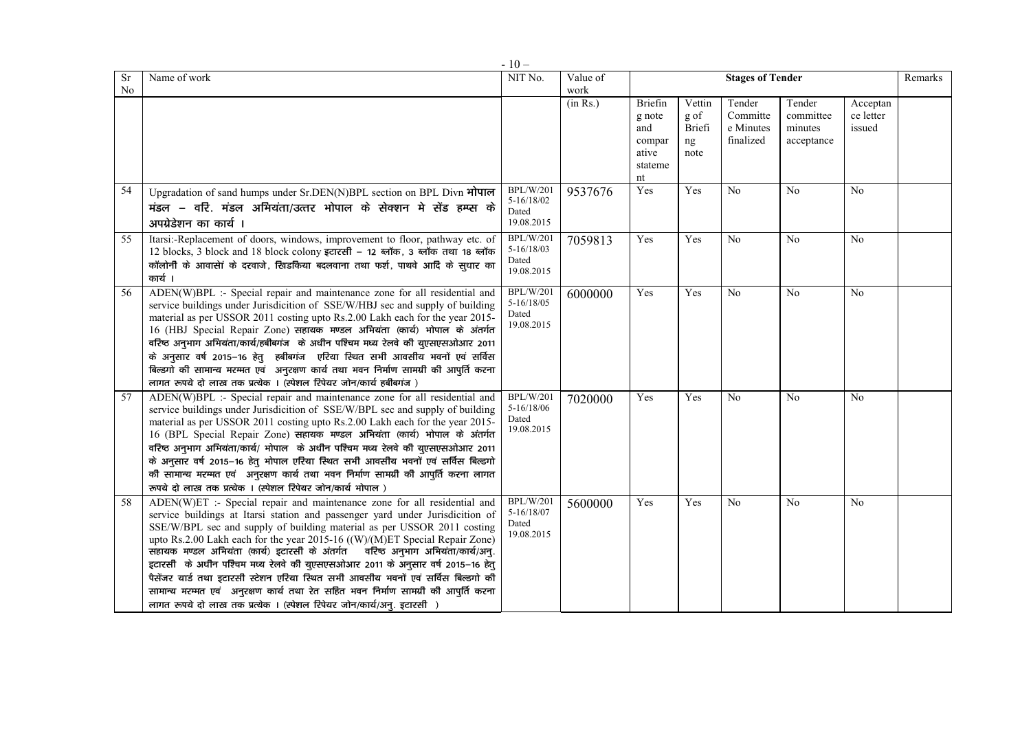|    |                                                                                                                                                                                                                                                                                                                                                                                                                                                                                                                                                                                                                                                                                                                                              | $-10-$                                                    |          |                                                              |                                        |                                              |                                              |                                 |         |
|----|----------------------------------------------------------------------------------------------------------------------------------------------------------------------------------------------------------------------------------------------------------------------------------------------------------------------------------------------------------------------------------------------------------------------------------------------------------------------------------------------------------------------------------------------------------------------------------------------------------------------------------------------------------------------------------------------------------------------------------------------|-----------------------------------------------------------|----------|--------------------------------------------------------------|----------------------------------------|----------------------------------------------|----------------------------------------------|---------------------------------|---------|
| Sr | Name of work                                                                                                                                                                                                                                                                                                                                                                                                                                                                                                                                                                                                                                                                                                                                 | NIT No.                                                   | Value of |                                                              |                                        | <b>Stages of Tender</b>                      |                                              |                                 | Remarks |
| No |                                                                                                                                                                                                                                                                                                                                                                                                                                                                                                                                                                                                                                                                                                                                              |                                                           | work     |                                                              |                                        |                                              |                                              |                                 |         |
|    |                                                                                                                                                                                                                                                                                                                                                                                                                                                                                                                                                                                                                                                                                                                                              |                                                           | (in Rs.) | Briefin<br>g note<br>and<br>compar<br>ative<br>stateme<br>nt | Vettin<br>g of<br>Briefi<br>ng<br>note | Tender<br>Committe<br>e Minutes<br>finalized | Tender<br>committee<br>minutes<br>acceptance | Acceptan<br>ce letter<br>issued |         |
| 54 | Upgradation of sand humps under Sr.DEN(N)BPL section on BPL Divn भोपाल<br>मंडल – वरि. मंडल अभियंता/उत्तर भोपाल के सेक्शन मे सेंड हम्प्स के<br>अपग्रेडेशन का कार्य ।                                                                                                                                                                                                                                                                                                                                                                                                                                                                                                                                                                          | <b>BPL/W/201</b><br>$5 - 16/18/02$<br>Dated<br>19.08.2015 | 9537676  | Yes                                                          | Yes                                    | No                                           | N <sub>o</sub>                               | No                              |         |
| 55 | Itarsi:-Replacement of doors, windows, improvement to floor, pathway etc. of<br>12 blocks, 3 block and 18 block colony इटारसी - 12 ब्लॉक, 3 ब्लॉक तथा 18 ब्लॉक<br>कॉलोनी के आवासेां के दरवाजे, खिडकिया बदलवाना तथा फर्श, पाथवे आदि के सुधार का<br>कार्य ।                                                                                                                                                                                                                                                                                                                                                                                                                                                                                    | <b>BPL/W/201</b><br>$5 - 16/18/03$<br>Dated<br>19.08.2015 | 7059813  | Yes                                                          | Yes                                    | N <sub>0</sub>                               | No                                           | N <sub>0</sub>                  |         |
| 56 | ADEN(W)BPL :- Special repair and maintenance zone for all residential and<br>service buildings under Jurisdicition of SSE/W/HBJ sec and supply of building<br>material as per USSOR 2011 costing upto Rs.2.00 Lakh each for the year 2015-<br>16 (HBJ Special Repair Zone) सहायक मण्डल अभियंता (कार्य) भोपाल के अंतर्गत<br>वरिष्ठ अनुभाग अभियंता/कार्य/हबीबगंज के अधीन पश्चिम मध्य रेलवे की युएसएसओआर 2011<br>के अनुसार वर्ष 2015–16 हेतु हबीबगंज एरिया स्थित सभी आवसीय भवनों एवं सर्विस<br>बिल्डगो की सामान्य मरम्मत एवं अनुरक्षण कार्य तथा भवन निर्माण सामग्री की आपुर्ति करना<br>लागत रूपये दो लाख तक प्रत्येक । (स्पेशल रिपेयर जोन/कार्य हबीबगंज)                                                                                        | BPL/W/201<br>$5 - 16/18/05$<br>Dated<br>19.08.2015        | 6000000  | Yes                                                          | Yes                                    | No                                           | No                                           | No                              |         |
| 57 | ADEN(W)BPL :- Special repair and maintenance zone for all residential and<br>service buildings under Jurisdicition of SSE/W/BPL sec and supply of building<br>material as per USSOR 2011 costing upto Rs.2.00 Lakh each for the year 2015-<br>16 (BPL Special Repair Zone) सहायक मण्डल अभियंता (कार्य) भोपाल के अंतर्गत<br>वरिष्ठ अनुभाग अभियंता/कार्य/ भोपाल के अधीन पश्चिम मध्य रेलवे की युएसएसओआर 2011<br>के अनुसार वर्ष 2015–16 हेत् भोपाल एरिया स्थित सभी आवसीय भवनों एवं सर्विस बिल्डगो<br>की सामान्य मरम्मत एवं अनुरक्षण कार्य तथा भवन निर्माण सामग्री की आपुर्ति करना लागत<br>रूपये दो लाख तक प्रत्येक । (स्पेशल रिपेयर जोन/कार्य भोपाल)                                                                                             | <b>BPL/W/201</b><br>5-16/18/06<br>Dated<br>19.08.2015     | 7020000  | Yes                                                          | Yes                                    | N <sub>0</sub>                               | N <sub>0</sub>                               | N <sub>0</sub>                  |         |
| 58 | ADEN(W)ET :- Special repair and maintenance zone for all residential and<br>service buildings at Itarsi station and passenger yard under Jurisdicition of<br>SSE/W/BPL sec and supply of building material as per USSOR 2011 costing<br>upto Rs.2.00 Lakh each for the year 2015-16 ((W)/(M)ET Special Repair Zone)<br>सहायक मण्डल अभियंता (कार्य) इटारसी के अंतर्गत वरिष्ठ अनुभाग अभियंता/कार्य/अनु.<br>इटारसी के अधीन पश्चिम मध्य रेलवे की युएसएसओआर 2011 के अनुसार वर्ष 2015-16 हेत्<br>पैसेंजर यार्ड तथा इटारसी स्टेशन एरिया स्थित सभी आवसीय भवनों एवं सर्विस बिल्डगो की<br>सामान्य मरम्मत एवं अनुरक्षण कार्य तथा रेत सहित भवन निर्माण सामग्री की आपूर्ति करना<br>लागत रूपये दो लाख तक प्रत्येक । (स्पेशल रिपेयर जोन/कार्य/अन्. इटारसी ) | <b>BPL/W/201</b><br>5-16/18/07<br>Dated<br>19.08.2015     | 5600000  | Yes                                                          | Yes                                    | No                                           | No                                           | No                              |         |